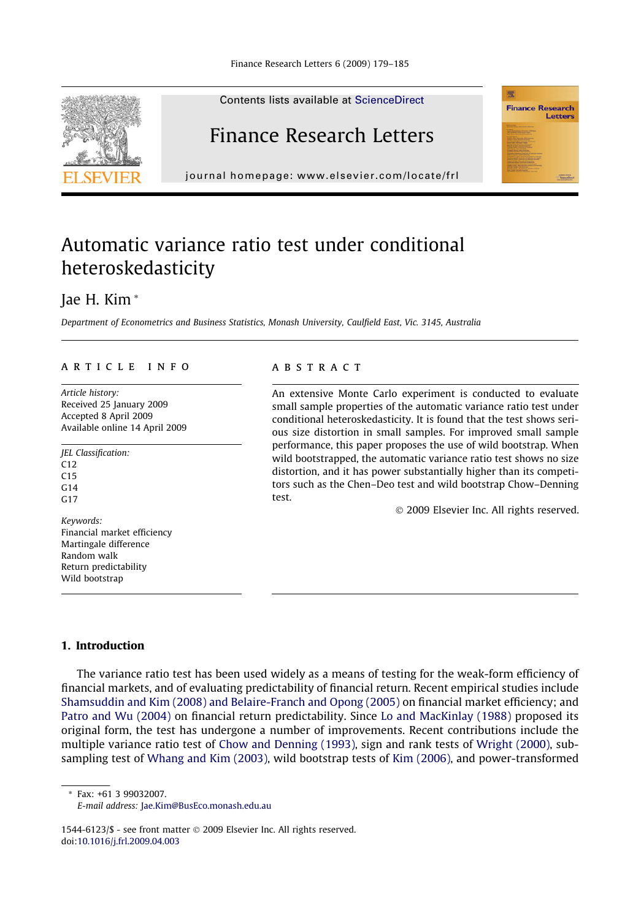

Contents lists available at [ScienceDirect](http://www.sciencedirect.com/science/journal/15446123)

## Finance Research Letters

journal homepage: [www.elsevier.com/locate/frl](http://www.elsevier.com/locate/frl)

## Automatic variance ratio test under conditional heteroskedasticity

### Jae H. Kim \*

Department of Econometrics and Business Statistics, Monash University, Caulfield East, Vic. 3145, Australia

#### article info

Article history: Received 25 January 2009 Accepted 8 April 2009 Available online 14 April 2009

JEL Classification:  $C12$  $C15$ G14  $G17$ 

Keywords: Financial market efficiency Martingale difference Random walk Return predictability Wild bootstrap

#### **ABSTRACT**

An extensive Monte Carlo experiment is conducted to evaluate small sample properties of the automatic variance ratio test under conditional heteroskedasticity. It is found that the test shows serious size distortion in small samples. For improved small sample performance, this paper proposes the use of wild bootstrap. When wild bootstrapped, the automatic variance ratio test shows no size distortion, and it has power substantially higher than its competitors such as the Chen–Deo test and wild bootstrap Chow–Denning test.

© 2009 Elsevier Inc. All rights reserved.

霐

**Finance Research** Letters

#### 1. Introduction

The variance ratio test has been used widely as a means of testing for the weak-form efficiency of financial markets, and of evaluating predictability of financial return. Recent empirical studies include [Shamsuddin and Kim \(2008\) and Belaire-Franch and Opong \(2005\)](#page--1-0) on financial market efficiency; and [Patro and Wu \(2004\)](#page--1-0) on financial return predictability. Since [Lo and MacKinlay \(1988\)](#page--1-0) proposed its original form, the test has undergone a number of improvements. Recent contributions include the multiple variance ratio test of [Chow and Denning \(1993\),](#page--1-0) sign and rank tests of [Wright \(2000\),](#page--1-0) subsampling test of [Whang and Kim \(2003\),](#page--1-0) wild bootstrap tests of [Kim \(2006\)](#page--1-0), and power-transformed

\* Fax: +61 3 99032007.

1544-6123/\$ - see front matter © 2009 Elsevier Inc. All rights reserved. doi[:10.1016/j.frl.2009.04.003](http://dx.doi.org/10.1016/j.frl.2009.04.003)

E-mail address: [Jae.Kim@BusEco.monash.edu.au](mailto:Jae.Kim@BusEco.monash.edu.au)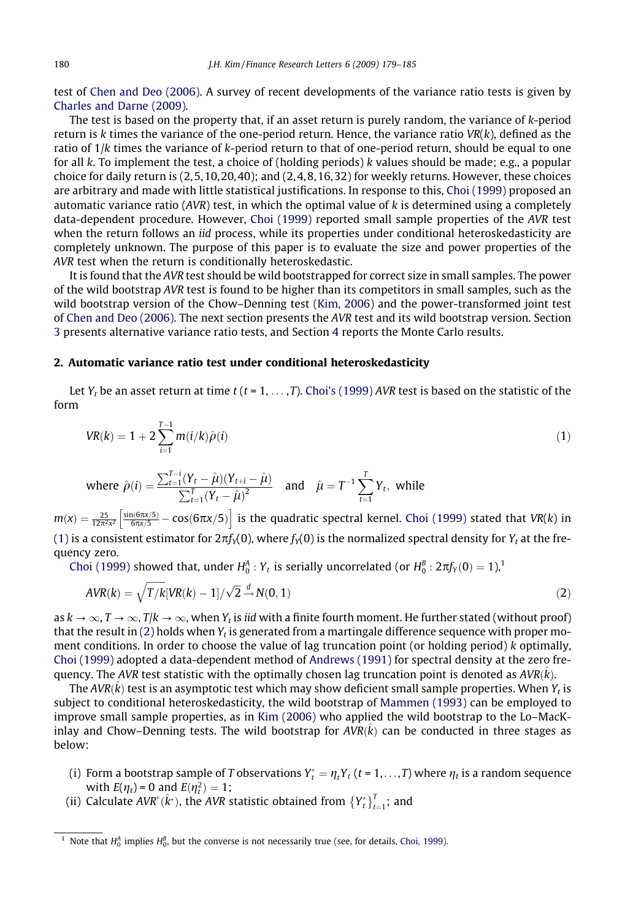test of [Chen and Deo \(2006\).](#page--1-0) A survey of recent developments of the variance ratio tests is given by [Charles and Darne \(2009\)](#page--1-0).

The test is based on the property that, if an asset return is purely random, the variance of k-period return is k times the variance of the one-period return. Hence, the variance ratio  $VR(k)$ , defined as the ratio of  $1/k$  times the variance of  $k$ -period return to that of one-period return, should be equal to one for all  $k$ . To implement the test, a choice of (holding periods)  $k$  values should be made; e.g., a popular choice for daily return is  $(2,5,10,20,40)$ ; and  $(2,4,8,16,32)$  for weekly returns. However, these choices are arbitrary and made with little statistical justifications. In response to this, [Choi \(1999\)](#page--1-0) proposed an automatic variance ratio ( $AVR$ ) test, in which the optimal value of  $k$  is determined using a completely data-dependent procedure. However, [Choi \(1999\)](#page--1-0) reported small sample properties of the AVR test when the return follows an *iid* process, while its properties under conditional heteroskedasticity are completely unknown. The purpose of this paper is to evaluate the size and power properties of the AVR test when the return is conditionally heteroskedastic.

It is found that the AVR test should be wild bootstrapped for correct size in small samples. The power of the wild bootstrap AVR test is found to be higher than its competitors in small samples, such as the wild bootstrap version of the Chow–Denning test ([Kim, 2006\)](#page--1-0) and the power-transformed joint test of [Chen and Deo \(2006\).](#page--1-0) The next section presents the AVR test and its wild bootstrap version. Section 3 presents alternative variance ratio tests, and Section 4 reports the Monte Carlo results.

#### 2. Automatic variance ratio test under conditional heteroskedasticity

Let  $Y_t$  be an asset return at time t (t = 1, ..., T). [Choi's \(1999\)](#page--1-0) AVR test is based on the statistic of the form

$$
VR(k) = 1 + 2\sum_{i=1}^{T-1} m(i/k)\hat{\rho}(i)
$$
\n(1)

where 
$$
\hat{\rho}(i) = \frac{\sum_{t=1}^{T-i} (Y_t - \hat{\mu})(Y_{t+i} - \hat{\mu})}{\sum_{t=1}^{T} (Y_t - \hat{\mu})^2}
$$
 and  $\hat{\mu} = T^{-1} \sum_{t=1}^{T} Y_t$ , while

 $m(x)=\frac{25}{12\pi^2x^2}\left[\frac{\sin(6\pi x/5)}{6\pi x/5}-\cos(6\pi x/5)\right]$  is the quadratic spectral kernel. [Choi \(1999\)](#page--1-0) stated that VR(k) in (1) is a consistent estimator for  $2\pi f_Y(0)$ , where  $f_Y(0)$  is the normalized spectral density for  $Y_t$  at the frequency zero.

[Choi \(1999\)](#page--1-0) showed that, under  $H_0^A$  :  $Y_t$  is serially uncorrelated (or  $H_0^B$  :  $2\pi f_Y(0)=1$ ),<sup>1</sup>

$$
AVR(k) = \sqrt{T/k}[VR(k) - 1]/\sqrt{2} \stackrel{d}{\rightarrow} N(0, 1)
$$
\n(2)

as  $k \to \infty$ ,  $T \to \infty$ ,  $T/k \to \infty$ , when  $Y_t$  is iid with a finite fourth moment. He further stated (without proof) that the result in (2) holds when  $Y_t$  is generated from a martingale difference sequence with proper moment conditions. In order to choose the value of lag truncation point (or holding period) k optimally, [Choi \(1999\)](#page--1-0) adopted a data-dependent method of [Andrews \(1991\)](#page--1-0) for spectral density at the zero frequency. The AVR test statistic with the optimally chosen lag truncation point is denoted as AVR( $\hat k$ ).

The AVR( $\hat k$ ) test is an asymptotic test which may show deficient small sample properties. When  $Y_t$  is subject to conditional heteroskedasticity, the wild bootstrap of [Mammen \(1993\)](#page--1-0) can be employed to improve small sample properties, as in [Kim \(2006\)](#page--1-0) who applied the wild bootstrap to the Lo–MacKinlay and Chow–Denning tests. The wild bootstrap for  $AVR(\hat{k})$  can be conducted in three stages as below:

- (i) Form a bootstrap sample of T observations  $Y_t^* = \eta_t Y_t$  (t = 1,...,T) where  $\eta_t$  is a random sequence with  $E(\eta_t) = 0$  and  $E(\eta_t^2) = 1$ ;
- (ii) Calculate AVR<sup>\*</sup>( $\hat{k}^*$ ), the AVR statistic obtained from  ${Y_t^*}_{t=1}^T$ ; and

<sup>&</sup>lt;sup>1</sup> Note that  $H_0^A$  implies  $H_0^B$ , but the converse is not necessarily true (see, for details, [Choi, 1999\)](#page--1-0).